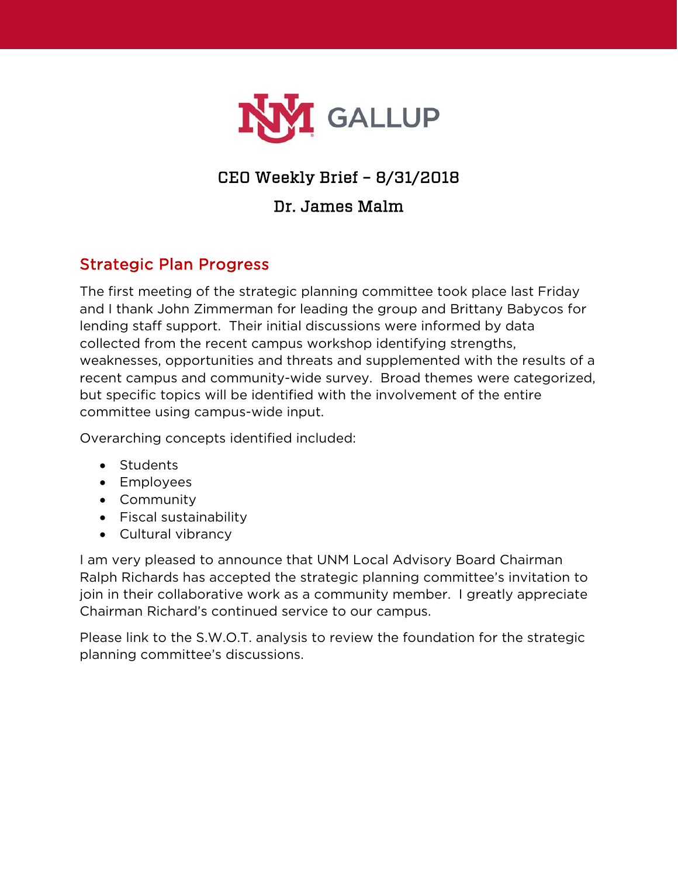

# CEO Weekly Brief – 8/31/2018

### Dr. James Malm

### Strategic Plan Progress

The first meeting of the strategic planning committee took place last Friday and I thank John Zimmerman for leading the group and Brittany Babycos for lending staff support. Their initial discussions were informed by data collected from the recent campus workshop identifying strengths, weaknesses, opportunities and threats and supplemented with the results of a recent campus and community-wide survey. Broad themes were categorized, but specific topics will be identified with the involvement of the entire committee using campus-wide input.

Overarching concepts identified included:

- Students
- Employees
- Community
- Fiscal sustainability
- Cultural vibrancy

I am very pleased to announce that UNM Local Advisory Board Chairman Ralph Richards has accepted the strategic planning committee's invitation to join in their collaborative work as a community member. I greatly appreciate Chairman Richard's continued service to our campus.

Please link to the S.W.O.T. analysis to review the foundation for the strategic planning committee's discussions.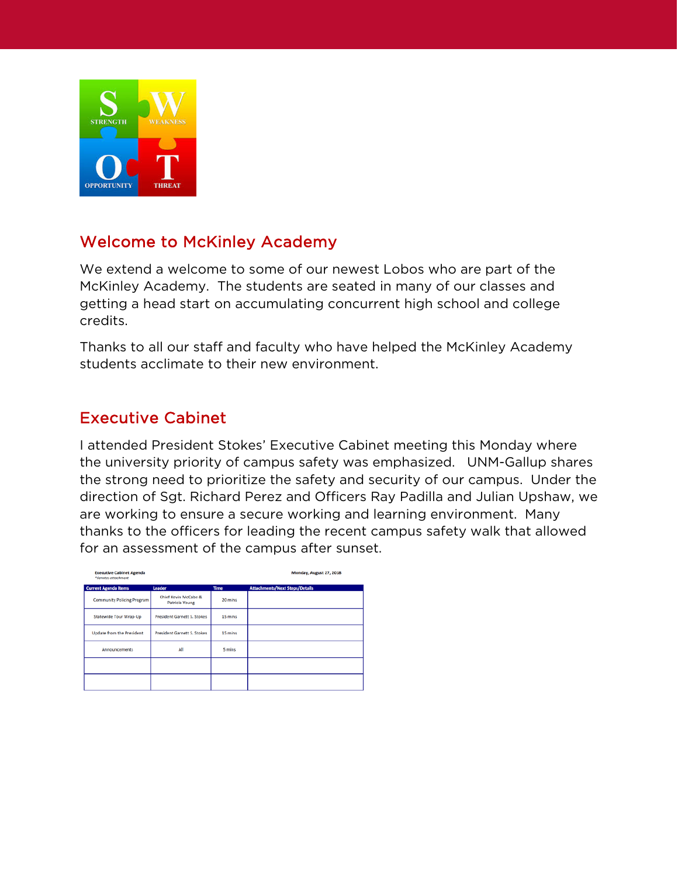

## Welcome to McKinley Academy

We extend a welcome to some of our newest Lobos who are part of the McKinley Academy. The students are seated in many of our classes and getting a head start on accumulating concurrent high school and college credits.

Thanks to all our staff and faculty who have helped the McKinley Academy students acclimate to their new environment.

### Executive Cabinet

I attended President Stokes' Executive Cabinet meeting this Monday where the university priority of campus safety was emphasized. UNM-Gallup shares the strong need to prioritize the safety and security of our campus. Under the direction of Sgt. Richard Perez and Officers Ray Padilla and Julian Upshaw, we are working to ensure a secure working and learning environment. Many thanks to the officers for leading the recent campus safety walk that allowed for an assessment of the campus after sunset.

| <b>Executive Cabinet Agenda</b><br>*denotes attachment |                                        |             | Monday, August 27, 2018               |
|--------------------------------------------------------|----------------------------------------|-------------|---------------------------------------|
| <b>Current Agenda Items</b>                            | Leader                                 | <b>Time</b> | <b>Attachments/Next Steps/Details</b> |
| <b>Community Policing Program</b>                      | Chief Kevin McCabe &<br>Patricia Young | 20 mins     |                                       |
| Statewide Tour Wrap-Up                                 | President Garnett S. Stokes            | 15 mins     |                                       |
| <b>Update from the President</b>                       | <b>President Garnett S. Stokes</b>     | 15 mins     |                                       |
| <b>Announcements</b>                                   | All                                    | 5 mins      |                                       |
|                                                        |                                        |             |                                       |
|                                                        |                                        |             |                                       |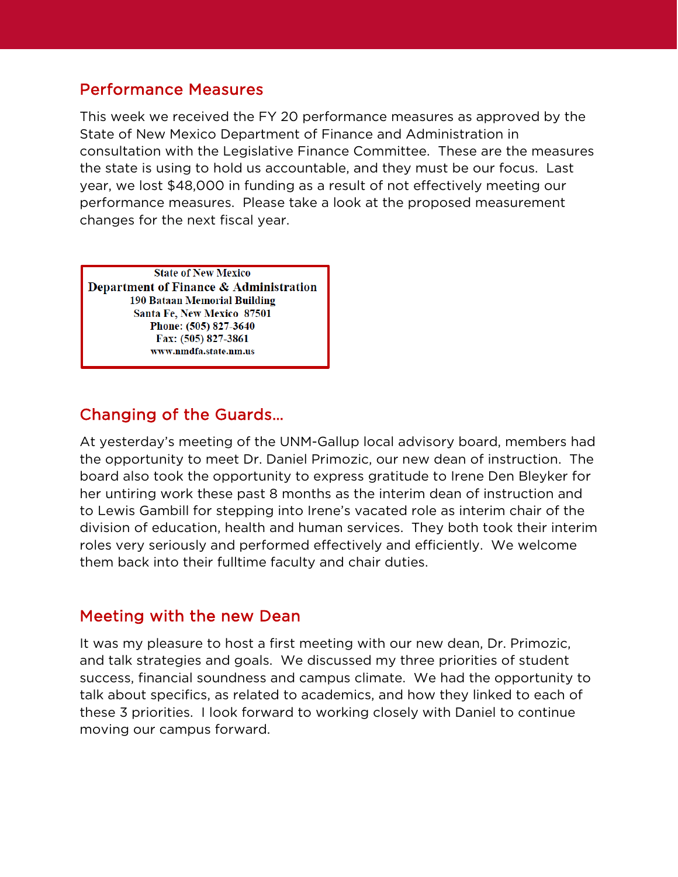#### Performance Measures

This week we received the FY 20 performance measures as approved by the State of New Mexico Department of Finance and Administration in consultation with the Legislative Finance Committee. These are the measures the state is using to hold us accountable, and they must be our focus. Last year, we lost \$48,000 in funding as a result of not effectively meeting our performance measures. Please take a look at the proposed measurement changes for the next fiscal year.

**State of New Mexico** Department of Finance & Administration 190 Bataan Memorial Building **Santa Fe. New Mexico 87501** Phone: (505) 827-3640 Fax: (505) 827-3861 www.nmdfa.state.nm.us

## Changing of the Guards…

At yesterday's meeting of the UNM-Gallup local advisory board, members had the opportunity to meet Dr. Daniel Primozic, our new dean of instruction. The board also took the opportunity to express gratitude to Irene Den Bleyker for her untiring work these past 8 months as the interim dean of instruction and to Lewis Gambill for stepping into Irene's vacated role as interim chair of the division of education, health and human services. They both took their interim roles very seriously and performed effectively and efficiently. We welcome them back into their fulltime faculty and chair duties.

#### Meeting with the new Dean

It was my pleasure to host a first meeting with our new dean, Dr. Primozic, and talk strategies and goals. We discussed my three priorities of student success, financial soundness and campus climate. We had the opportunity to talk about specifics, as related to academics, and how they linked to each of these 3 priorities. I look forward to working closely with Daniel to continue moving our campus forward.